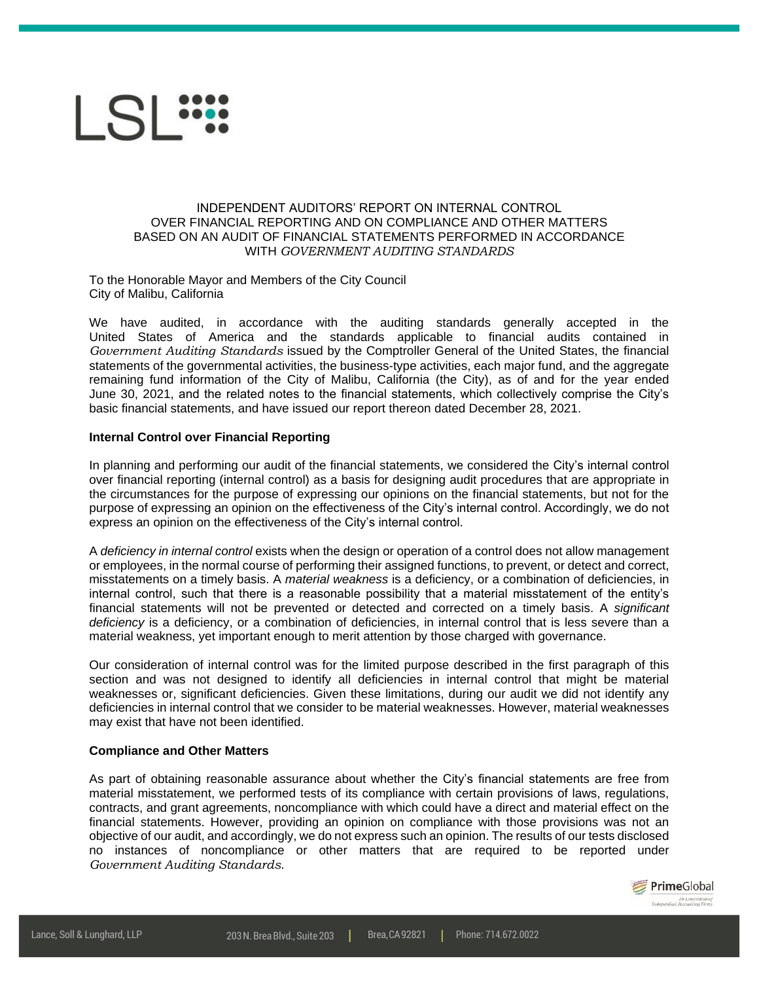

## INDEPENDENT AUDITORS' REPORT ON INTERNAL CONTROL OVER FINANCIAL REPORTING AND ON COMPLIANCE AND OTHER MATTERS BASED ON AN AUDIT OF FINANCIAL STATEMENTS PERFORMED IN ACCORDANCE WITH *GOVERNMENT AUDITING STANDARDS*

To the Honorable Mayor and Members of the City Council City of Malibu, California

We have audited, in accordance with the auditing standards generally accepted in the United States of America and the standards applicable to financial audits contained in *Government Auditing Standards* issued by the Comptroller General of the United States, the financial statements of the governmental activities, the business-type activities, each major fund, and the aggregate remaining fund information of the City of Malibu, California (the City), as of and for the year ended June 30, 2021, and the related notes to the financial statements, which collectively comprise the City's basic financial statements, and have issued our report thereon dated December 28, 2021.

## **Internal Control over Financial Reporting**

In planning and performing our audit of the financial statements, we considered the City's internal control over financial reporting (internal control) as a basis for designing audit procedures that are appropriate in the circumstances for the purpose of expressing our opinions on the financial statements, but not for the purpose of expressing an opinion on the effectiveness of the City's internal control. Accordingly, we do not express an opinion on the effectiveness of the City's internal control.

A *deficiency in internal control* exists when the design or operation of a control does not allow management or employees, in the normal course of performing their assigned functions, to prevent, or detect and correct, misstatements on a timely basis. A *material weakness* is a deficiency, or a combination of deficiencies, in internal control, such that there is a reasonable possibility that a material misstatement of the entity's financial statements will not be prevented or detected and corrected on a timely basis. A *significant deficiency* is a deficiency, or a combination of deficiencies, in internal control that is less severe than a material weakness, yet important enough to merit attention by those charged with governance.

Our consideration of internal control was for the limited purpose described in the first paragraph of this section and was not designed to identify all deficiencies in internal control that might be material weaknesses or, significant deficiencies. Given these limitations, during our audit we did not identify any deficiencies in internal control that we consider to be material weaknesses. However, material weaknesses may exist that have not been identified.

## **Compliance and Other Matters**

As part of obtaining reasonable assurance about whether the City's financial statements are free from material misstatement, we performed tests of its compliance with certain provisions of laws, regulations, contracts, and grant agreements, noncompliance with which could have a direct and material effect on the financial statements. However, providing an opinion on compliance with those provisions was not an objective of our audit, and accordingly, we do not express such an opinion. The results of our tests disclosed no instances of noncompliance or other matters that are required to be reported under *Government Auditing Standards*.